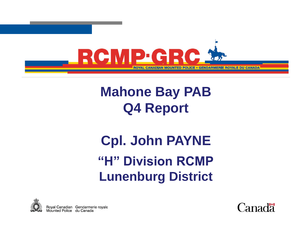

## **Mahone Bay PAB Q4 Report**

# **"H" Division RCMP Lunenburg District Cpl. John PAYNE**



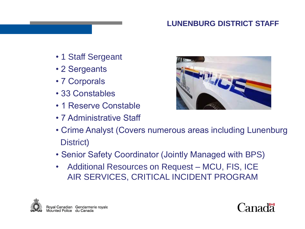### **LUNENBURG DISTRICT STAFF**

- 1 Staff Sergeant
- 2 Sergeants
- 7 Corporals
- 33 Constables
- 1 Reserve Constable
- 7 Administrative Staff



- Crime Analyst (Covers numerous areas including Lunenburg District)
- Senior Safety Coordinator (Jointly Managed with BPS)
- Additional Resources on Request MCU, FIS, ICE AIR SERVICES, CRITICAL INCIDENT PROGRAM



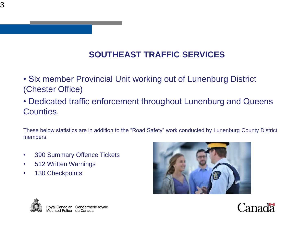### **SOUTHEAST TRAFFIC SERVICES**

- Six member Provincial Unit working out of Lunenburg District (Chester Office)
- Dedicated traffic enforcement throughout Lunenburg and Queens Counties.

These below statistics are in addition to the "Road Safety" work conducted by Lunenburg County District members.

- 390 Summary Offence Tickets
- 512 Written Warnings
- 130 Checkpoints





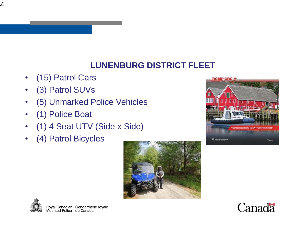### **LUNENBURG DISTRICT FLEET**

- (15) Patrol Cars
- (3) Patrol SUVs
- (5) Unmarked Police Vehicles
- (1) Police Boat
- (1) 4 Seat UTV (Side x Side)
- (4) Patrol Bicycles







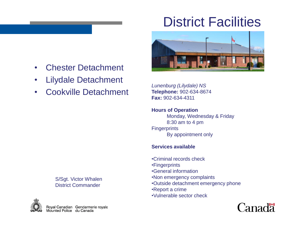## District Facilities



- Chester Detachment
- Lilydale Detachment
- Cookville Detachment

*Lunenburg (Lilydale) NS* **Telephone:** 902-634-8674 **Fax:** 902-634-4311

**Hours of Operation** Monday, Wednesday & Friday 8:30 am to 4 pm **Fingerprints** By appointment only

#### **Services available**

•Criminal records check •Fingerprints •General information •Non emergency complaints •Outside detachment emergency phone •Report a crime

•Vulnerable sector check



S/Sgt. Victor Whalen District Commander

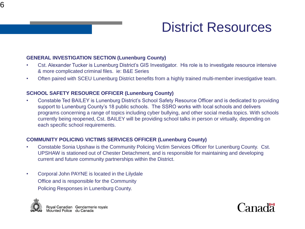

### District Resources

#### **GENERAL INVESTIGATION SECTION (Lunenburg County)**

- Cst. Alexander Tucker is Lunenburg District's GIS Investigator. His role is to investigate resource intensive & more complicated criminal files. ie: B&E Series
- Often paired with SCEU Lunenburg District benefits from a highly trained multi-member investigative team.

#### **SCHOOL SAFETY RESOURCE OFFICER (Lunenburg County)**

• Constable Ted BAILEY is Lunenburg District's School Safety Resource Officer and is dedicated to providing support to Lunenburg County's 18 public schools. The SSRO works with local schools and delivers programs concerning a range of topics including cyber bullying, and other social media topics. With schools currently being reopened, Cst. BAILEY will be providing school talks in person or virtually, depending on each specific school requirements.

#### **COMMUNITY POLICING VICTIMS SERVICES OFFICER (Lunenburg County)**

- Constable Sonia Upshaw is the Community Policing Victim Services Officer for Lunenburg County. Cst. UPSHAW is stationed out of Chester Detachment, and is responsible for maintaining and developing current and future community partnerships within the District.
- Corporal John PAYNE is located in the Lilydale Office and is responsible for the Community Policing Responses in Lunenburg County.



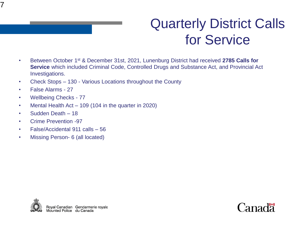

## Quarterly District Calls for Service

- Between October 1st & December 31st, 2021, Lunenburg District had received **2785 Calls for Service** which included Criminal Code, Controlled Drugs and Substance Act, and Provincial Act Investigations.
- Check Stops 130 Various Locations throughout the County
- False Alarms 27
- Wellbeing Checks 77
- Mental Health Act 109 (104 in the quarter in 2020)
- Sudden Death 18
- Crime Prevention -97
- False/Accidental 911 calls 56
- Missing Person- 6 (all located)



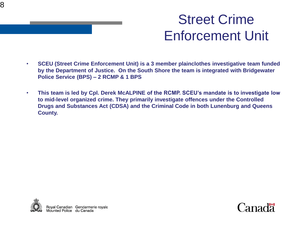

## Street Crime Enforcement Unit

- **SCEU (Street Crime Enforcement Unit) is a 3 member plainclothes investigative team funded by the Department of Justice. On the South Shore the team is integrated with Bridgewater Police Service (BPS) – 2 RCMP & 1 BPS**
- **This team is led by Cpl. Derek McALPINE of the RCMP. SCEU's mandate is to investigate low to mid-level organized crime. They primarily investigate offences under the Controlled Drugs and Substances Act (CDSA) and the Criminal Code in both Lunenburg and Queens County.**



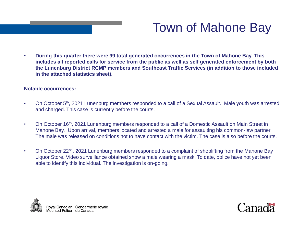

### Town of Mahone Bay

• **During this quarter there were 99 total generated occurrences in the Town of Mahone Bay. This includes all reported calls for service from the public as well as self generated enforcement by both the Lunenburg District RCMP members and Southeast Traffic Services (in addition to those included in the attached statistics sheet).**

#### **Notable occurrences:**

- On October 5<sup>th</sup>, 2021 Lunenburg members responded to a call of a Sexual Assault. Male youth was arrested and charged. This case is currently before the courts.
- On October 16<sup>th</sup>, 2021 Lunenburg members responded to a call of a Domestic Assault on Main Street in Mahone Bay. Upon arrival, members located and arrested a male for assaulting his common-law partner. The male was released on conditions not to have contact with the victim. The case is also before the courts.
- On October 22<sup>nd</sup>, 2021 Lunenburg members responded to a complaint of shoplifting from the Mahone Bay Liquor Store. Video surveillance obtained show a male wearing a mask. To date, police have not yet been able to identify this individual. The investigation is on-going.



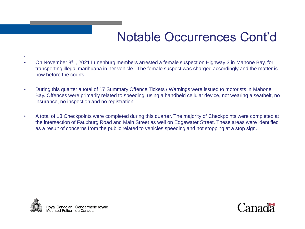### Notable Occurrences Cont'd

- On November 8th , 2021 Lunenburg members arrested a female suspect on Highway 3 in Mahone Bay, for transporting illegal marihuana in her vehicle. The female suspect was charged accordingly and the matter is now before the courts.
- During this quarter a total of 17 Summary Offence Tickets / Warnings were issued to motorists in Mahone Bay. Offences were primarily related to speeding, using a handheld cellular device, not wearing a seatbelt, no insurance, no inspection and no registration.
- A total of 13 Checkpoints were completed during this quarter. The majority of Checkpoints were completed at the intersection of Fauxburg Road and Main Street as well on Edgewater Street. These areas were identified as a result of concerns from the public related to vehicles speeding and not stopping at a stop sign.



.

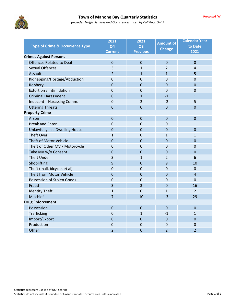

| <b>Type of Crime &amp; Occurrence Type</b> | 2021                             | 2021            | <b>Amount of</b> | <b>Calendar Year</b> |  |  |  |
|--------------------------------------------|----------------------------------|-----------------|------------------|----------------------|--|--|--|
|                                            | Q <sub>4</sub><br>Q <sub>3</sub> | <b>Change</b>   | to Date          |                      |  |  |  |
|                                            | <b>Current</b>                   | <b>Previous</b> |                  | 2021                 |  |  |  |
| <b>Crimes Against Persons</b>              |                                  |                 |                  |                      |  |  |  |
| <b>Offences Related to Death</b>           | $\mathbf 0$                      | $\mathbf 0$     | $\mathbf 0$      | $\overline{0}$       |  |  |  |
| <b>Sexual Offences</b>                     | 3                                | $\mathbf{1}$    | 2                | 4                    |  |  |  |
| Assault                                    | $\overline{2}$                   | $\mathbf{1}$    | $\mathbf{1}$     | 5                    |  |  |  |
| Kidnapping/Hostage/Abduction               | $\mathbf 0$                      | $\mathbf 0$     | $\Omega$         | $\mathbf 0$          |  |  |  |
| Robbery                                    | $\overline{0}$                   | $\mathbf 0$     | $\mathbf 0$      | $\mathbf 0$          |  |  |  |
| Extortion / Intimidation                   | 0                                | $\mathbf 0$     | 0                | $\mathbf 0$          |  |  |  |
| <b>Criminal Harassment</b>                 | $\overline{0}$                   | $\mathbf{1}$    | $-1$             | $\mathbf{1}$         |  |  |  |
| Indecent   Harassing Comm.                 | 0                                | $\overline{2}$  | $-2$             | 5                    |  |  |  |
| <b>Uttering Threats</b>                    | $\overline{0}$                   | $\mathbf 0$     | $\mathbf 0$      | $\mathbf 0$          |  |  |  |
| <b>Property Crime</b>                      |                                  |                 |                  |                      |  |  |  |
| Arson                                      | $\overline{0}$                   | $\mathbf 0$     | $\mathbf 0$      | $\mathbf 0$          |  |  |  |
| <b>Break and Enter</b>                     | 0                                | $\overline{0}$  | $\overline{0}$   | $\mathbf{1}$         |  |  |  |
| Unlawfully in a Dwelling House             | $\overline{0}$                   | $\Omega$        | $\Omega$         | $\overline{0}$       |  |  |  |
| <b>Theft Over</b>                          | $\mathbf{1}$                     | 0               | $\mathbf{1}$     | 1                    |  |  |  |
| Theft of Motor Vehicle                     | $\overline{0}$                   | $\mathbf 0$     | $\mathbf 0$      | $\Omega$             |  |  |  |
| Theft of Other MV / Motorcycle             | $\mathbf 0$                      | $\mathbf 0$     | $\mathbf 0$      | $\mathbf 0$          |  |  |  |
| Take MV w/o Consent                        | $\overline{0}$                   | $\mathbf 0$     | $\mathbf 0$      | $\mathbf 0$          |  |  |  |
| <b>Theft Under</b>                         | 3                                | 1               | 2                | 6                    |  |  |  |
| Shoplifting                                | 9                                | $\mathbf 0$     | 9                | 10                   |  |  |  |
| Theft (mail, bicycle, et al)               | 0                                | $\mathbf 0$     | $\mathbf 0$      | $\mathbf 0$          |  |  |  |
| Theft from Motor Vehicle                   | $\overline{0}$                   | $\mathbf 0$     | $\Omega$         | $\overline{4}$       |  |  |  |
| Possession of Stolen Goods                 | $\mathbf 0$                      | $\mathbf 0$     | $\overline{0}$   | $\Omega$             |  |  |  |
| Fraud                                      | $\overline{3}$                   | 3               | $\overline{0}$   | 16                   |  |  |  |
| <b>Identity Theft</b>                      | $\mathbf{1}$                     | $\overline{0}$  | $\mathbf{1}$     | $\overline{2}$       |  |  |  |
| Mischief                                   | $\overline{7}$                   | 10              | $-3$             | 29                   |  |  |  |
| <b>Drug Enforcement</b>                    |                                  |                 |                  |                      |  |  |  |
| Possession                                 | $\overline{0}$                   | $\Omega$        | $\Omega$         | $\Omega$             |  |  |  |
| Trafficking                                | $\mathbf 0$                      | 1               | $-1$             | 1                    |  |  |  |
| Import/Export                              | $\mathbf 0$                      | $\mathbf 0$     | $\mathbf 0$      | $\mathbf 0$          |  |  |  |
| Production                                 | 0                                | $\mathbf 0$     | 0                | $\mathbf 0$          |  |  |  |
| Other                                      | $\overline{2}$                   | $\mathbf 0$     | $\overline{2}$   | $\overline{2}$       |  |  |  |